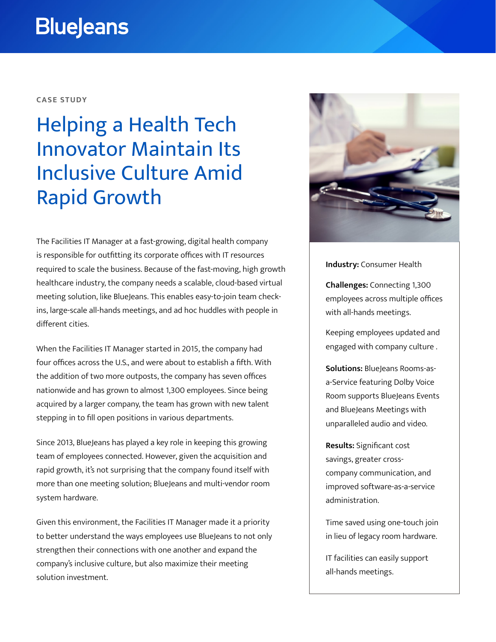# **BlueJeans**

### **CASE STUDY**

# Helping a Health Tech Innovator Maintain Its Inclusive Culture Amid Rapid Growth

The Facilities IT Manager at a fast-growing, digital health company is responsible for outfitting its corporate offices with IT resources required to scale the business. Because of the fast-moving, high growth healthcare industry, the company needs a scalable, cloud-based virtual meeting solution, like BlueJeans. This enables easy-to-join team checkins, large-scale all-hands meetings, and ad hoc huddles with people in different cities.

When the Facilities IT Manager started in 2015, the company had four offices across the U.S., and were about to establish a fifth. With the addition of two more outposts, the company has seven offices nationwide and has grown to almost 1,300 employees. Since being acquired by a larger company, the team has grown with new talent stepping in to fill open positions in various departments.

Since 2013, BlueJeans has played a key role in keeping this growing team of employees connected. However, given the acquisition and rapid growth, it's not surprising that the company found itself with more than one meeting solution; BlueJeans and multi-vendor room system hardware.

Given this environment, the Facilities IT Manager made it a priority to better understand the ways employees use BlueJeans to not only strengthen their connections with one another and expand the company's inclusive culture, but also maximize their meeting solution investment.



**Industry:** Consumer Health

**Challenges:** Connecting 1,300 employees across multiple offices with all-hands meetings.

Keeping employees updated and engaged with company culture .

**Solutions:** BlueJeans Rooms-asa-Service featuring Dolby Voice Room supports BlueJeans Events and BlueJeans Meetings with unparalleled audio and video.

**Results:** Significant cost savings, greater crosscompany communication, and improved software-as-a-service administration.

Time saved using one-touch join in lieu of legacy room hardware.

IT facilities can easily support all-hands meetings.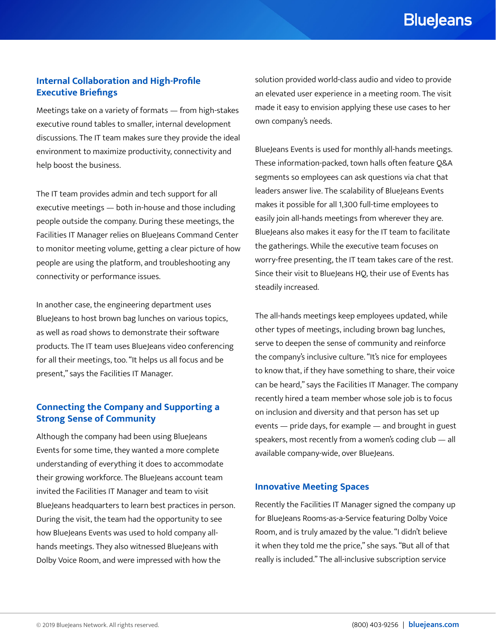## **BlueJeans**

### **Internal Collaboration and High-Profile Executive Briefings**

Meetings take on a variety of formats — from high-stakes executive round tables to smaller, internal development discussions. The IT team makes sure they provide the ideal environment to maximize productivity, connectivity and help boost the business.

The IT team provides admin and tech support for all executive meetings — both in-house and those including people outside the company. During these meetings, the Facilities IT Manager relies on BlueJeans Command Center to monitor meeting volume, getting a clear picture of how people are using the platform, and troubleshooting any connectivity or performance issues.

In another case, the engineering department uses BlueJeans to host brown bag lunches on various topics, as well as road shows to demonstrate their software products. The IT team uses BlueJeans video conferencing for all their meetings, too. "It helps us all focus and be present," says the Facilities IT Manager.

## **Connecting the Company and Supporting a Strong Sense of Community**

Although the company had been using BlueJeans Events for some time, they wanted a more complete understanding of everything it does to accommodate their growing workforce. The BlueJeans account team invited the Facilities IT Manager and team to visit BlueJeans headquarters to learn best practices in person. During the visit, the team had the opportunity to see how BlueJeans Events was used to hold company allhands meetings. They also witnessed BlueJeans with Dolby Voice Room, and were impressed with how the

solution provided world-class audio and video to provide an elevated user experience in a meeting room. The visit made it easy to envision applying these use cases to her own company's needs.

BlueJeans Events is used for monthly all-hands meetings. These information-packed, town halls often feature Q&A segments so employees can ask questions via chat that leaders answer live. The scalability of BlueJeans Events makes it possible for all 1,300 full-time employees to easily join all-hands meetings from wherever they are. BlueJeans also makes it easy for the IT team to facilitate the gatherings. While the executive team focuses on worry-free presenting, the IT team takes care of the rest. Since their visit to BlueJeans HQ, their use of Events has steadily increased.

The all-hands meetings keep employees updated, while other types of meetings, including brown bag lunches, serve to deepen the sense of community and reinforce the company's inclusive culture. "It's nice for employees to know that, if they have something to share, their voice can be heard," says the Facilities IT Manager. The company recently hired a team member whose sole job is to focus on inclusion and diversity and that person has set up events — pride days, for example — and brought in guest speakers, most recently from a women's coding club — all available company-wide, over BlueJeans.

#### **Innovative Meeting Spaces**

Recently the Facilities IT Manager signed the company up for BlueJeans Rooms-as-a-Service featuring Dolby Voice Room, and is truly amazed by the value. "I didn't believe it when they told me the price," she says. "But all of that really is included." The all-inclusive subscription service